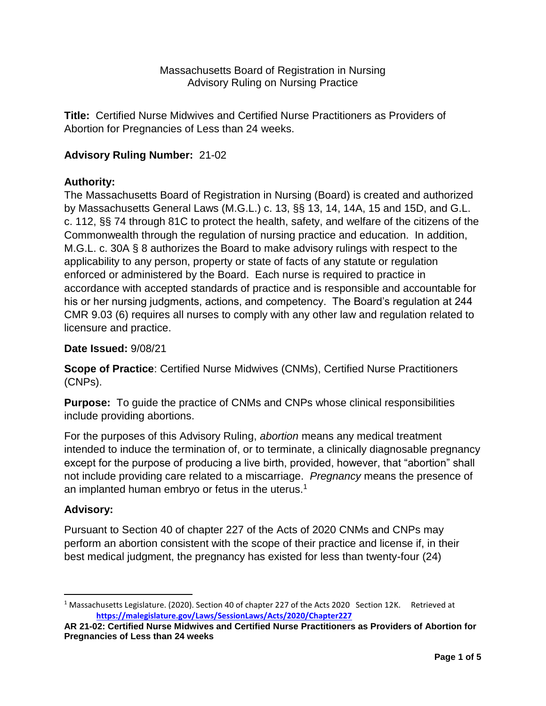Massachusetts Board of Registration in Nursing Advisory Ruling on Nursing Practice

**Title:** Certified Nurse Midwives and Certified Nurse Practitioners as Providers of Abortion for Pregnancies of Less than 24 weeks.

# **Advisory Ruling Number:** 21-02

# **Authority:**

The Massachusetts Board of Registration in Nursing (Board) is created and authorized by Massachusetts General Laws (M.G.L.) c. 13, §§ 13, 14, 14A, 15 and 15D, and G.L. c. 112, §§ 74 through 81C to protect the health, safety, and welfare of the citizens of the Commonwealth through the regulation of nursing practice and education. In addition, M.G.L. c. 30A § 8 authorizes the Board to make advisory rulings with respect to the applicability to any person, property or state of facts of any statute or regulation enforced or administered by the Board. Each nurse is required to practice in accordance with accepted standards of practice and is responsible and accountable for his or her nursing judgments, actions, and competency. The Board's regulation at 244 CMR 9.03 (6) requires all nurses to comply with any other law and regulation related to licensure and practice.

#### **Date Issued:** 9/08/21

**Scope of Practice**: Certified Nurse Midwives (CNMs), Certified Nurse Practitioners (CNPs).

**Purpose:** To guide the practice of CNMs and CNPs whose clinical responsibilities include providing abortions.

For the purposes of this Advisory Ruling, *abortion* means any medical treatment intended to induce the termination of, or to terminate, a clinically diagnosable pregnancy except for the purpose of producing a live birth, provided, however, that "abortion" shall not include providing care related to a miscarriage. *Pregnancy* means the presence of an implanted human embryo or fetus in the uterus.<sup>1</sup>

# **Advisory:**

 $\overline{\phantom{a}}$ 

Pursuant to Section 40 of chapter 227 of the Acts of 2020 CNMs and CNPs may perform an abortion consistent with the scope of their practice and license if, in their best medical judgment, the pregnancy has existed for less than twenty-four (24)

<sup>&</sup>lt;sup>1</sup> Massachusetts Legislature. (2020). Section 40 of chapter 227 of the Acts 2020 Section 12K. Retrieved at **<https://malegislature.gov/Laws/SessionLaws/Acts/2020/Chapter227>**

**AR 21-02: Certified Nurse Midwives and Certified Nurse Practitioners as Providers of Abortion for Pregnancies of Less than 24 weeks**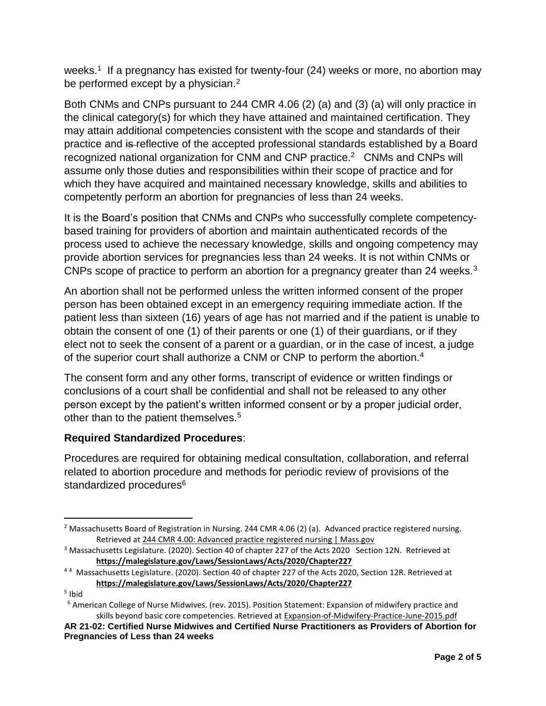weeks.<sup>1</sup> If a pregnancy has existed for twenty-four (24) weeks or more, no abortion may be performed except by a physician.<sup>2</sup>

Both CNMs and CNPs pursuant to 244 CMR 4.06 (2) (a) and (3) (a) will only practice in the clinical category(s) for which they have attained and maintained certification. They may attain additional competencies consistent with the scope and standards of their practice and is reflective of the accepted professional standards established by a Board recognized national organization for CNM and CNP practice.<sup>2</sup> CNMs and CNPs will assume only those duties and responsibilities within their scope of practice and for which they have acquired and maintained necessary knowledge, skills and abilities to competently perform an abortion for pregnancies of less than 24 weeks.

It is the Board's position that CNMs and CNPs who successfully complete competencybased training for providers of abortion and maintain authenticated records of the process used to achieve the necessary knowledge, skills and ongoing competency may provide abortion services for pregnancies less than 24 weeks. It is not within CNMs or CNPs scope of practice to perform an abortion for a pregnancy greater than 24 weeks.<sup>3</sup>

An abortion shall not be performed unless the written informed consent of the proper person has been obtained except in an emergency requiring immediate action. If the patient less than sixteen (16) years of age has not married and if the patient is unable to obtain the consent of one (1) of their parents or one (1) of their guardians, or if they elect not to seek the consent of a parent or a guardian, or in the case of incest, a judge of the superior court shall authorize a CNM or CNP to perform the abortion.<sup>4</sup>

The consent form and any other forms, transcript of evidence or written findings or conclusions of a court shall be confidential and shall not be released to any other person except by the patient's written informed consent or by a proper judicial order, other than to the patient themselves.<sup>5</sup>

# **Required Standardized Procedures**:

Procedures are required for obtaining medical consultation, collaboration, and referral related to abortion procedure and methods for periodic review of provisions of the standardized procedures<sup>6</sup>

<sup>5</sup> Ibid

 $\overline{a}$ 

<sup>&</sup>lt;sup>2</sup> Massachusetts Board of Registration in Nursing. 244 CMR 4.06 (2) (a). Advanced practice registered nursing. Retrieved at [244 CMR 4.00: Advanced practice registered nursing | Mass.gov](https://www.mass.gov/regulations/244-CMR-400-advanced-practice-registered-nursing)

<sup>&</sup>lt;sup>3</sup> Massachusetts Legislature. (2020). Section 40 of chapter 227 of the Acts 2020 Section 12N. Retrieved at **<https://malegislature.gov/Laws/SessionLaws/Acts/2020/Chapter227>**

<sup>&</sup>lt;sup>44</sup> Massachusetts Legislature. (2020). Section 40 of chapter 227 of the Acts 2020, Section 12R. Retrieved at **<https://malegislature.gov/Laws/SessionLaws/Acts/2020/Chapter227>**

<sup>6</sup> American College of Nurse Midwives. (rev. 2015). Position Statement: Expansion of midwifery practice and skills beyond basic core competencies. Retrieved a[t Expansion-of-Midwifery-Practice-June-2015.pdf](https://www.midwife.org/acnm/files/ACNMLibraryData/UPLOADFILENAME/000000000066/Expansion-of-Midwifery-Practice-June-2015.pdf)

**AR 21-02: Certified Nurse Midwives and Certified Nurse Practitioners as Providers of Abortion for Pregnancies of Less than 24 weeks**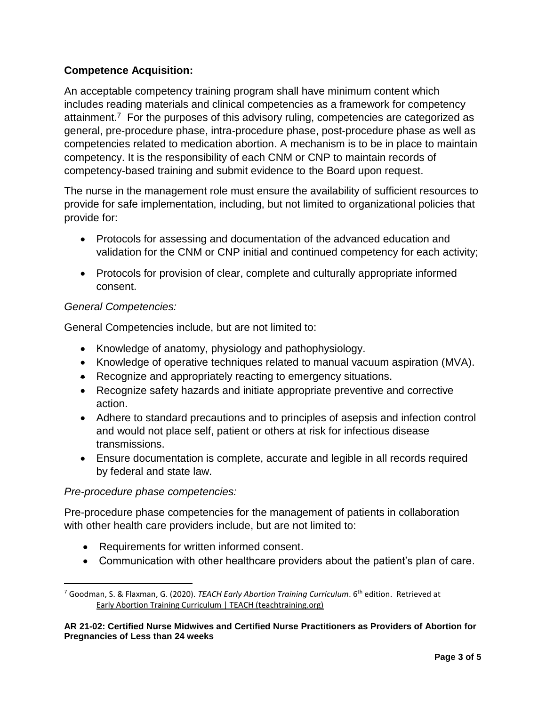# **Competence Acquisition:**

An acceptable competency training program shall have minimum content which includes reading materials and clinical competencies as a framework for competency attainment.<sup>7</sup> For the purposes of this advisory ruling, competencies are categorized as general, pre-procedure phase, intra-procedure phase, post-procedure phase as well as competencies related to medication abortion. A mechanism is to be in place to maintain competency. It is the responsibility of each CNM or CNP to maintain records of competency-based training and submit evidence to the Board upon request.

The nurse in the management role must ensure the availability of sufficient resources to provide for safe implementation, including, but not limited to organizational policies that provide for:

- Protocols for assessing and documentation of the advanced education and validation for the CNM or CNP initial and continued competency for each activity;
- Protocols for provision of clear, complete and culturally appropriate informed consent.

#### *General Competencies:*

General Competencies include, but are not limited to:

- Knowledge of anatomy, physiology and pathophysiology.
- Knowledge of operative techniques related to manual vacuum aspiration (MVA).
- Recognize and appropriately reacting to emergency situations.
- Recognize safety hazards and initiate appropriate preventive and corrective action.
- Adhere to standard precautions and to principles of asepsis and infection control and would not place self, patient or others at risk for infectious disease transmissions.
- Ensure documentation is complete, accurate and legible in all records required by federal and state law.

# *Pre-procedure phase competencies:*

 $\overline{\phantom{a}}$ 

Pre-procedure phase competencies for the management of patients in collaboration with other health care providers include, but are not limited to:

- Requirements for written informed consent.
- Communication with other healthcare providers about the patient's plan of care.

<sup>7</sup> Goodman, S. & Flaxman, G. (2020). *TEACH Early Abortion Training Curriculum*. 6th edition. Retrieved at [Early Abortion Training Curriculum | TEACH \(teachtraining.org\)](https://www.teachtraining.org/training-tools/early-abortion-training-workbook/)

**AR 21-02: Certified Nurse Midwives and Certified Nurse Practitioners as Providers of Abortion for Pregnancies of Less than 24 weeks**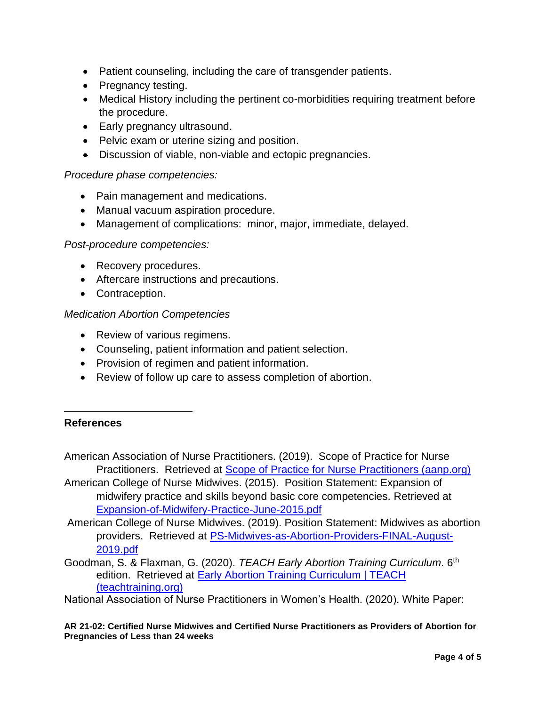- Patient counseling, including the care of transgender patients.
- Pregnancy testing.
- Medical History including the pertinent co-morbidities requiring treatment before the procedure.
- Early pregnancy ultrasound.
- Pelvic exam or uterine sizing and position.
- Discussion of viable, non-viable and ectopic pregnancies.

## *Procedure phase competencies:*

- Pain management and medications.
- Manual vacuum aspiration procedure.
- Management of complications: minor, major, immediate, delayed.

#### *Post-procedure competencies:*

- Recovery procedures.
- Aftercare instructions and precautions.
- Contraception.

#### *Medication Abortion Competencies*

- Review of various regimens.
- Counseling, patient information and patient selection.
- Provision of regimen and patient information.
- Review of follow up care to assess completion of abortion.

# **References**

 $\overline{\phantom{a}}$ 

- American Association of Nurse Practitioners. (2019). Scope of Practice for Nurse Practitioners. Retrieved at [Scope of Practice for Nurse Practitioners \(aanp.org\)](https://www.aanp.org/advocacy/advocacy-resource/position-statements/scope-of-practice-for-nurse-practitioners)
- American College of Nurse Midwives. (2015). Position Statement: Expansion of midwifery practice and skills beyond basic core competencies. Retrieved at [Expansion-of-Midwifery-Practice-June-2015.pdf](file:///C:/Users/pmcnamee/Documents/Abortion%20Law/Expansion-of-Midwifery-Practice-June-2015.pdf)

American College of Nurse Midwives. (2019). Position Statement: Midwives as abortion providers. Retrieved at [PS-Midwives-as-Abortion-Providers-FINAL-August-](file:///C:/Users/pmcnamee/Documents/Abortion%20Law/PS-Midwives-as-Abortion-Providers-FINAL-August-2019.pdf)[2019.pdf](file:///C:/Users/pmcnamee/Documents/Abortion%20Law/PS-Midwives-as-Abortion-Providers-FINAL-August-2019.pdf)

Goodman, S. & Flaxman, G. (2020). *TEACH Early Abortion Training Curriculum*. 6th edition. Retrieved at Early Abortion Training Curriculum | TEACH [\(teachtraining.org\)](https://www.teachtraining.org/training-tools/early-abortion-training-workbook/)

National Association of Nurse Practitioners in Women's Health. (2020). White Paper:

#### **AR 21-02: Certified Nurse Midwives and Certified Nurse Practitioners as Providers of Abortion for Pregnancies of Less than 24 weeks**